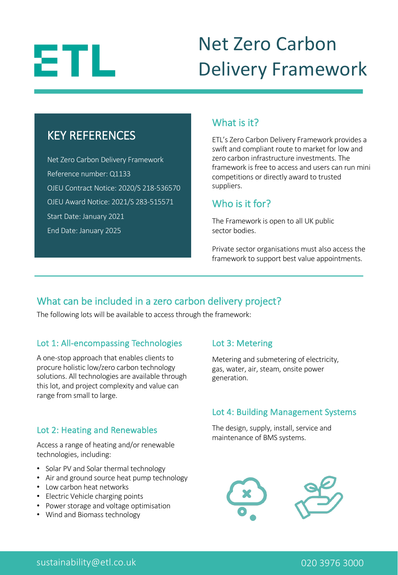

### Net Zero Carbon Delivery Framework

### KEY REFERENCES

Net Zero Carbon Delivery Framework Reference number: Q1133 OJEU Contract Notice: 2020/S 218-536570 OJEU Award Notice: 2021/S 283-515571 Start Date: January 2021 End Date: January 2025

### What is it?

ETL's Zero Carbon Delivery Framework provides a swift and compliant route to market for low and zero carbon infrastructure investments. The framework is free to access and users can run mini competitions or directly award to trusted suppliers.

### Who is it for?

The Framework is open to all UK public sector bodies.

Private sector organisations must also access the framework to support best value appointments.

### What can be included in a zero carbon delivery project?

The following lots will be available to access through the framework:

### Lot 1: All-encompassing Technologies

A one-stop approach that enables clients to procure holistic low/zero carbon technology solutions. All technologies are available through this lot, and project complexity and value can range from small to large.

### Lot 2: Heating and Renewables

Access a range of heating and/or renewable technologies, including:

- Solar PV and Solar thermal technology
- Air and ground source heat pump technology
- Low carbon heat networks
- Electric Vehicle charging points
- Power storage and voltage optimisation
- Wind and Biomass technology

### Lot 3: Metering

Metering and submetering of electricity, gas, water, air, steam, onsite power generation.

### Lot 4: Building Management Systems

The design, supply, install, service and maintenance of BMS systems.

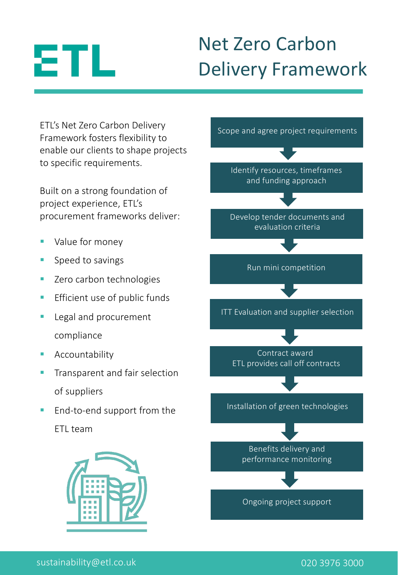# ЕTL

# Net Zero Carbon Delivery Framework

ETL's Net Zero Carbon Delivery Framework fosters flexibility to enable our clients to shape projects to specific requirements.

Built on a strong foundation of project experience, ETL's procurement frameworks deliver:

- Value for money
- § Speed to savings
- Zero carbon technologies
- **Efficient use of public funds**
- Legal and procurement compliance
- **Accountability**
- § Transparent and fair selection of suppliers
- End-to-end support from the ETL team



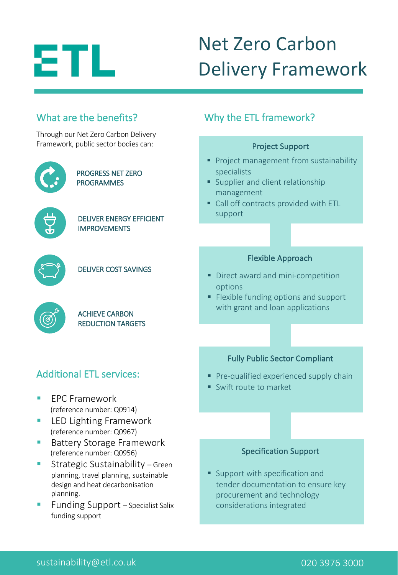

What are the benefits?

## Net Zero Carbon Delivery Framework

### Through our Net Zero Carbon Delivery Framework, public sector bodies can: PROGRESS NET ZERO PROGRAMMES DELIVER ENERGY EFFICIENT IMPROVEMENTS DELIVER COST SAVINGS ACHIEVE CARBON REDUCTION TARGETS specialists management support options ■ FPC Framework (reference number: Q0914) ■ LED Lighting Framework (reference number: Q0967) ■ Battery Storage Framework (reference number: Q0956) § Strategic Sustainability – Green Additional ETL services:

- planning, travel planning, sustainable design and heat decarbonisation planning.
- Funding Support Specialist Salix funding support

### Why the ETL framework?

### Project Support

- § Project management from sustainability
- **Supplier and client relationship**
- Call off contracts provided with ETL

#### Flexible Approach

- Direct award and mini-competition
- Flexible funding options and support with grant and loan applications

#### Fully Public Sector Compliant

- **Pre-qualified experienced supply chain**
- Swift route to market

#### Specification Support

■ Support with specification and tender documentation to ensure key procurement and technology considerations integrated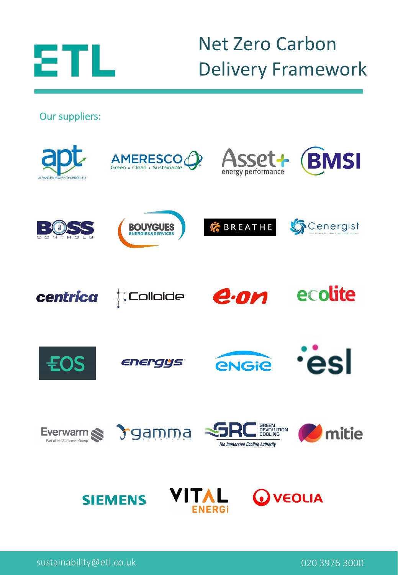

### Net Zero Carbon Delivery Framework

Our suppliers: